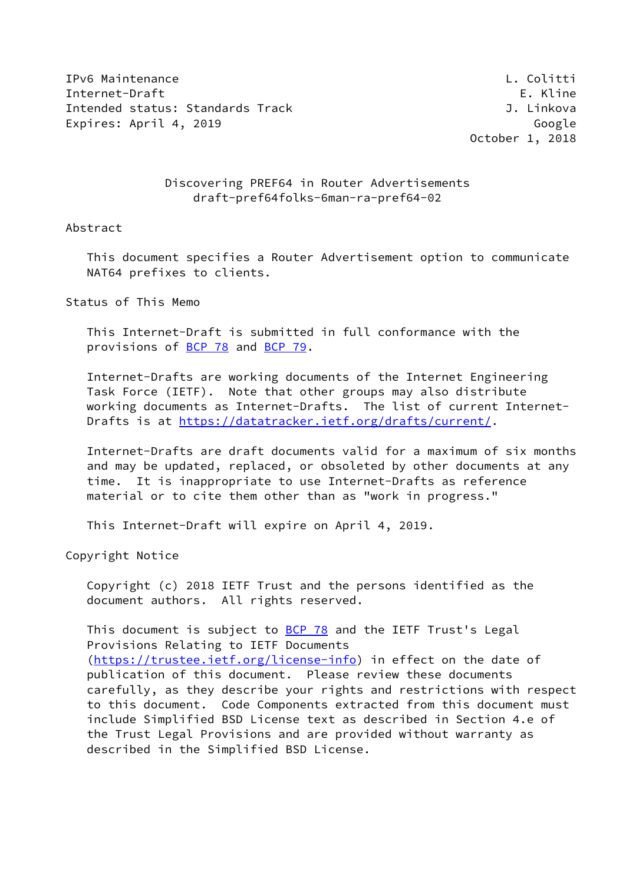IPv6 Maintenance L. Colitti Internet-Draft **E. Kline** Intended status: Standards Track J. Linkova Expires: April 4, 2019 **Google** 

October 1, 2018

# Discovering PREF64 in Router Advertisements draft-pref64folks-6man-ra-pref64-02

## Abstract

 This document specifies a Router Advertisement option to communicate NAT64 prefixes to clients.

Status of This Memo

 This Internet-Draft is submitted in full conformance with the provisions of [BCP 78](https://datatracker.ietf.org/doc/pdf/bcp78) and [BCP 79](https://datatracker.ietf.org/doc/pdf/bcp79).

 Internet-Drafts are working documents of the Internet Engineering Task Force (IETF). Note that other groups may also distribute working documents as Internet-Drafts. The list of current Internet- Drafts is at<https://datatracker.ietf.org/drafts/current/>.

 Internet-Drafts are draft documents valid for a maximum of six months and may be updated, replaced, or obsoleted by other documents at any time. It is inappropriate to use Internet-Drafts as reference material or to cite them other than as "work in progress."

This Internet-Draft will expire on April 4, 2019.

Copyright Notice

 Copyright (c) 2018 IETF Trust and the persons identified as the document authors. All rights reserved.

This document is subject to **[BCP 78](https://datatracker.ietf.org/doc/pdf/bcp78)** and the IETF Trust's Legal Provisions Relating to IETF Documents [\(https://trustee.ietf.org/license-info](https://trustee.ietf.org/license-info)) in effect on the date of publication of this document. Please review these documents carefully, as they describe your rights and restrictions with respect to this document. Code Components extracted from this document must include Simplified BSD License text as described in Section 4.e of the Trust Legal Provisions and are provided without warranty as described in the Simplified BSD License.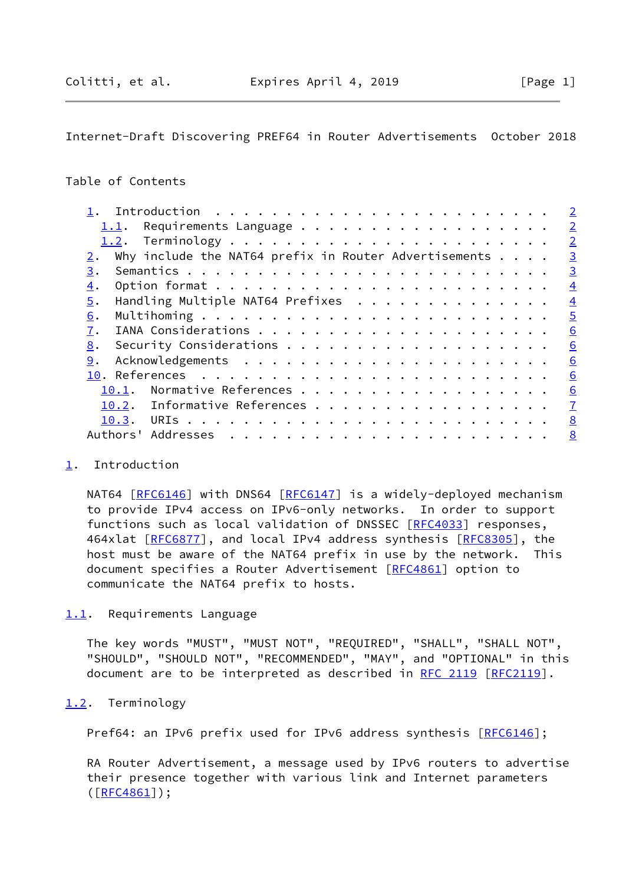# <span id="page-1-1"></span>Internet-Draft Discovering PREF64 in Router Advertisements October 2018

# Table of Contents

|                                                                  | $\overline{2}$ |
|------------------------------------------------------------------|----------------|
| Requirements Language<br>1.1.                                    | $\overline{2}$ |
|                                                                  | $\overline{2}$ |
| Why include the NAT64 prefix in Router Advertisements $\ldots$ . | $\overline{3}$ |
| 3.                                                               | $\overline{3}$ |
| $\overline{4}$ .                                                 | $\overline{4}$ |
| 5.<br>Handling Multiple NAT64 Prefixes                           | $\overline{4}$ |
| 6.                                                               | $\overline{5}$ |
| 7.                                                               | 6              |
| 8.                                                               | 6              |
| 9.                                                               | 6              |
|                                                                  | 6              |
| Normative References<br>10.1.                                    | 6              |
| Informative References<br>10.2.                                  | $\overline{1}$ |
|                                                                  | 8              |
| Authors'                                                         | 8              |
|                                                                  |                |

#### <span id="page-1-0"></span>[1](#page-1-0). Introduction

NAT64 [[RFC6146](https://datatracker.ietf.org/doc/pdf/rfc6146)] with DNS64 [[RFC6147\]](https://datatracker.ietf.org/doc/pdf/rfc6147) is a widely-deployed mechanism to provide IPv4 access on IPv6-only networks. In order to support functions such as local validation of DNSSEC [\[RFC4033](https://datatracker.ietf.org/doc/pdf/rfc4033)] responses, 464xlat [\[RFC6877](https://datatracker.ietf.org/doc/pdf/rfc6877)], and local IPv4 address synthesis [\[RFC8305](https://datatracker.ietf.org/doc/pdf/rfc8305)], the host must be aware of the NAT64 prefix in use by the network. This document specifies a Router Advertisement [[RFC4861](https://datatracker.ietf.org/doc/pdf/rfc4861)] option to communicate the NAT64 prefix to hosts.

#### <span id="page-1-2"></span>[1.1](#page-1-2). Requirements Language

 The key words "MUST", "MUST NOT", "REQUIRED", "SHALL", "SHALL NOT", "SHOULD", "SHOULD NOT", "RECOMMENDED", "MAY", and "OPTIONAL" in this document are to be interpreted as described in [RFC 2119 \[RFC2119](https://datatracker.ietf.org/doc/pdf/rfc2119)].

#### <span id="page-1-3"></span>[1.2](#page-1-3). Terminology

Pref64: an IPv6 prefix used for IPv6 address synthesis [\[RFC6146](https://datatracker.ietf.org/doc/pdf/rfc6146)];

 RA Router Advertisement, a message used by IPv6 routers to advertise their presence together with various link and Internet parameters  $([$ <u>RFC4861</u>] $);$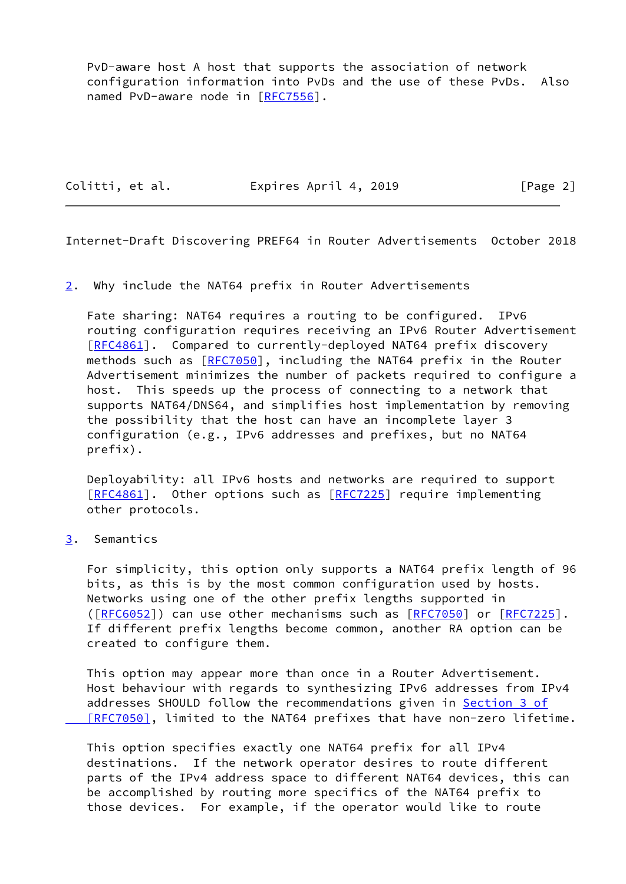PvD-aware host A host that supports the association of network configuration information into PvDs and the use of these PvDs. Also named PvD-aware node in [\[RFC7556](https://datatracker.ietf.org/doc/pdf/rfc7556)].

Colitti, et al. Expires April 4, 2019 [Page 2]

<span id="page-2-1"></span>Internet-Draft Discovering PREF64 in Router Advertisements October 2018

<span id="page-2-0"></span>[2](#page-2-0). Why include the NAT64 prefix in Router Advertisements

 Fate sharing: NAT64 requires a routing to be configured. IPv6 routing configuration requires receiving an IPv6 Router Advertisement [\[RFC4861](https://datatracker.ietf.org/doc/pdf/rfc4861)]. Compared to currently-deployed NAT64 prefix discovery methods such as [\[RFC7050](https://datatracker.ietf.org/doc/pdf/rfc7050)], including the NAT64 prefix in the Router Advertisement minimizes the number of packets required to configure a host. This speeds up the process of connecting to a network that supports NAT64/DNS64, and simplifies host implementation by removing the possibility that the host can have an incomplete layer 3 configuration (e.g., IPv6 addresses and prefixes, but no NAT64 prefix).

 Deployability: all IPv6 hosts and networks are required to support [\[RFC4861](https://datatracker.ietf.org/doc/pdf/rfc4861)]. Other options such as [[RFC7225](https://datatracker.ietf.org/doc/pdf/rfc7225)] require implementing other protocols.

<span id="page-2-2"></span>[3](#page-2-2). Semantics

 For simplicity, this option only supports a NAT64 prefix length of 96 bits, as this is by the most common configuration used by hosts. Networks using one of the other prefix lengths supported in ([\[RFC6052](https://datatracker.ietf.org/doc/pdf/rfc6052)]) can use other mechanisms such as [\[RFC7050](https://datatracker.ietf.org/doc/pdf/rfc7050)] or [[RFC7225](https://datatracker.ietf.org/doc/pdf/rfc7225)]. If different prefix lengths become common, another RA option can be created to configure them.

 This option may appear more than once in a Router Advertisement. Host behaviour with regards to synthesizing IPv6 addresses from IPv4 addresses SHOULD follow the recommendations given in [Section](https://datatracker.ietf.org/doc/pdf/rfc7050#section-3) 3 of [RFC7050], limited to the NAT64 prefixes that have non-zero lifetime.

 This option specifies exactly one NAT64 prefix for all IPv4 destinations. If the network operator desires to route different parts of the IPv4 address space to different NAT64 devices, this can be accomplished by routing more specifics of the NAT64 prefix to those devices. For example, if the operator would like to route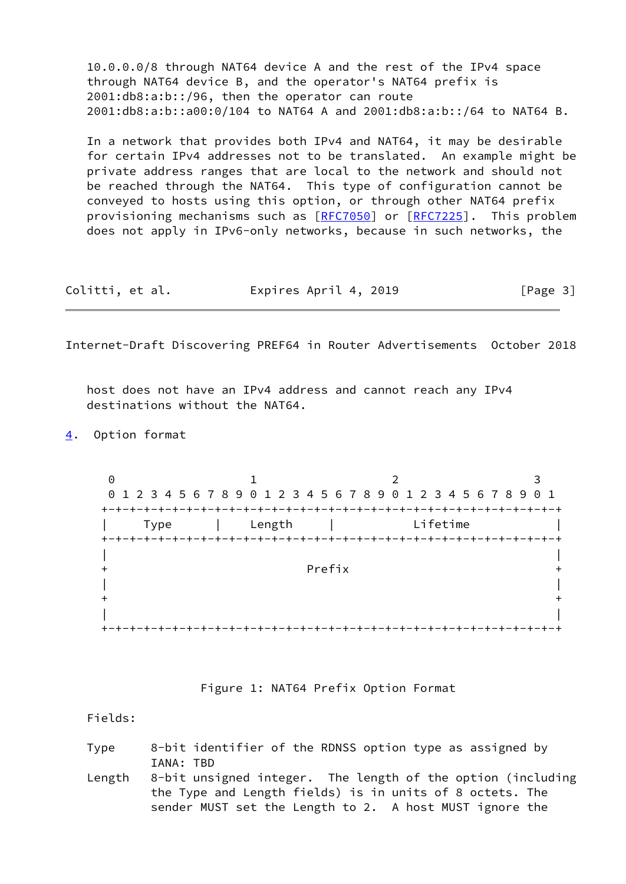10.0.0.0/8 through NAT64 device A and the rest of the IPv4 space through NAT64 device B, and the operator's NAT64 prefix is 2001:db8:a:b::/96, then the operator can route 2001:db8:a:b::a00:0/104 to NAT64 A and 2001:db8:a:b::/64 to NAT64 B.

 In a network that provides both IPv4 and NAT64, it may be desirable for certain IPv4 addresses not to be translated. An example might be private address ranges that are local to the network and should not be reached through the NAT64. This type of configuration cannot be conveyed to hosts using this option, or through other NAT64 prefix provisioning mechanisms such as [\[RFC7050](https://datatracker.ietf.org/doc/pdf/rfc7050)] or [\[RFC7225](https://datatracker.ietf.org/doc/pdf/rfc7225)]. This problem does not apply in IPv6-only networks, because in such networks, the

| Colitti, et al. | Expires April 4, 2019 | [Page 3] |
|-----------------|-----------------------|----------|
|-----------------|-----------------------|----------|

<span id="page-3-1"></span>Internet-Draft Discovering PREF64 in Router Advertisements October 2018

 host does not have an IPv4 address and cannot reach any IPv4 destinations without the NAT64.

<span id="page-3-0"></span>[4](#page-3-0). Option format

0 1 2 3 0 1 2 3 4 5 6 7 8 9 0 1 2 3 4 5 6 7 8 9 0 1 2 3 4 5 6 7 8 9 0 1 +-+-+-+-+-+-+-+-+-+-+-+-+-+-+-+-+-+-+-+-+-+-+-+-+-+-+-+-+-+-+-+-+ | Type | Length | Lifetime | +-+-+-+-+-+-+-+-+-+-+-+-+-+-+-+-+-+-+-+-+-+-+-+-+-+-+-+-+-+-+-+-+ | | + Prefix + | |  $+$  +  $+$  +  $+$  +  $+$  +  $+$  +  $+$  +  $+$  +  $+$  +  $+$  +  $+$  +  $+$  +  $+$  +  $+$  +  $+$  +  $+$  +  $+$  +  $+$  +  $+$  +  $+$  +  $+$  +  $+$  +  $+$  +  $+$  +  $+$  +  $+$  +  $+$  +  $+$  +  $+$  +  $+$  +  $+$  +  $+$  +  $+$  +  $+$  +  $+$  +  $+$  +  $+$  +  $+$  + | | +-+-+-+-+-+-+-+-+-+-+-+-+-+-+-+-+-+-+-+-+-+-+-+-+-+-+-+-+-+-+-+-+

Figure 1: NAT64 Prefix Option Format

Fields:

| Type |           | 8-bit identifier of the RDNSS option type as assigned by |  |  |  |  |
|------|-----------|----------------------------------------------------------|--|--|--|--|
|      | IANA: TBD |                                                          |  |  |  |  |

 Length 8-bit unsigned integer. The length of the option (including the Type and Length fields) is in units of 8 octets. The sender MUST set the Length to 2. A host MUST ignore the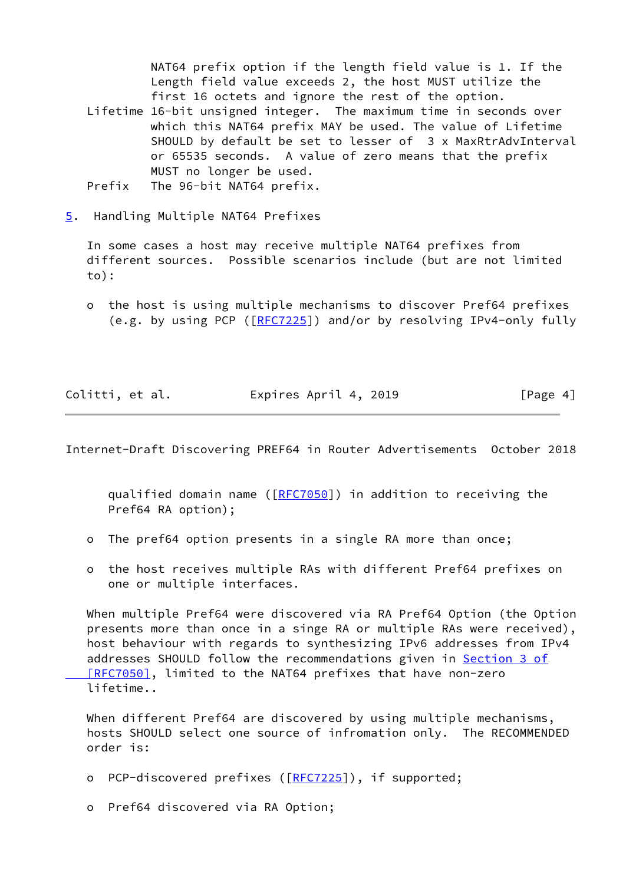NAT64 prefix option if the length field value is 1. If the Length field value exceeds 2, the host MUST utilize the first 16 octets and ignore the rest of the option. Lifetime 16-bit unsigned integer. The maximum time in seconds over which this NAT64 prefix MAY be used. The value of Lifetime SHOULD by default be set to lesser of 3 x MaxRtrAdvInterval or 65535 seconds. A value of zero means that the prefix MUST no longer be used.

- Prefix The 96-bit NAT64 prefix.
- <span id="page-4-0"></span>[5](#page-4-0). Handling Multiple NAT64 Prefixes

 In some cases a host may receive multiple NAT64 prefixes from different sources. Possible scenarios include (but are not limited to):

 o the host is using multiple mechanisms to discover Pref64 prefixes (e.g. by using PCP ([\[RFC7225](https://datatracker.ietf.org/doc/pdf/rfc7225)]) and/or by resolving IPv4-only fully

Colitti, et al. **Expires April 4, 2019**[Page 4]

<span id="page-4-1"></span>Internet-Draft Discovering PREF64 in Router Advertisements October 2018

qualified domain name ([[RFC7050](https://datatracker.ietf.org/doc/pdf/rfc7050)]) in addition to receiving the Pref64 RA option);

- o The pref64 option presents in a single RA more than once;
- o the host receives multiple RAs with different Pref64 prefixes on one or multiple interfaces.

 When multiple Pref64 were discovered via RA Pref64 Option (the Option presents more than once in a singe RA or multiple RAs were received), host behaviour with regards to synthesizing IPv6 addresses from IPv4 addresses SHOULD follow the recommendations given in **Section 3 of**  [\[RFC7050\]](https://datatracker.ietf.org/doc/pdf/rfc7050#section-3), limited to the NAT64 prefixes that have non-zero lifetime..

When different Pref64 are discovered by using multiple mechanisms, hosts SHOULD select one source of infromation only. The RECOMMENDED order is:

- o PCP-discovered prefixes ([\[RFC7225](https://datatracker.ietf.org/doc/pdf/rfc7225)]), if supported;
- o Pref64 discovered via RA Option;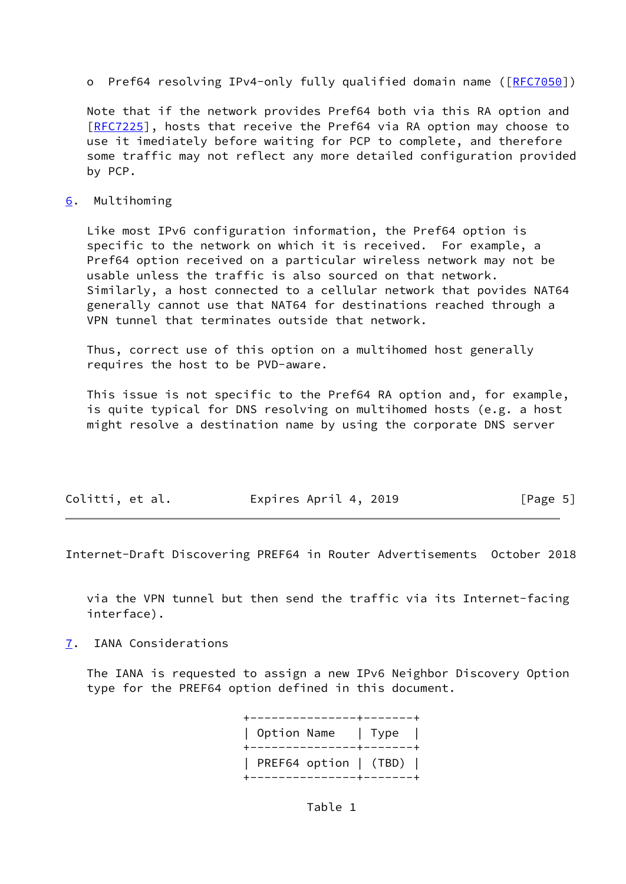o Pref64 resolving IPv4-only fully qualified domain name ( $[REC7050]$ )

 Note that if the network provides Pref64 both via this RA option and [\[RFC7225](https://datatracker.ietf.org/doc/pdf/rfc7225)], hosts that receive the Pref64 via RA option may choose to use it imediately before waiting for PCP to complete, and therefore some traffic may not reflect any more detailed configuration provided by PCP.

### <span id="page-5-0"></span>[6](#page-5-0). Multihoming

 Like most IPv6 configuration information, the Pref64 option is specific to the network on which it is received. For example, a Pref64 option received on a particular wireless network may not be usable unless the traffic is also sourced on that network. Similarly, a host connected to a cellular network that povides NAT64 generally cannot use that NAT64 for destinations reached through a VPN tunnel that terminates outside that network.

 Thus, correct use of this option on a multihomed host generally requires the host to be PVD-aware.

 This issue is not specific to the Pref64 RA option and, for example, is quite typical for DNS resolving on multihomed hosts (e.g. a host might resolve a destination name by using the corporate DNS server

| Colitti, et al. | Expires April 4, 2019 | [Page 5] |
|-----------------|-----------------------|----------|
|                 |                       |          |

<span id="page-5-2"></span>Internet-Draft Discovering PREF64 in Router Advertisements October 2018

 via the VPN tunnel but then send the traffic via its Internet-facing interface).

<span id="page-5-1"></span>[7](#page-5-1). IANA Considerations

 The IANA is requested to assign a new IPv6 Neighbor Discovery Option type for the PREF64 option defined in this document.

| Option Name   Type  <br>+----------------+------ | ---------------+------ |  |
|--------------------------------------------------|------------------------|--|
| PREF64 option $ $ (TBD) $ $                      |                        |  |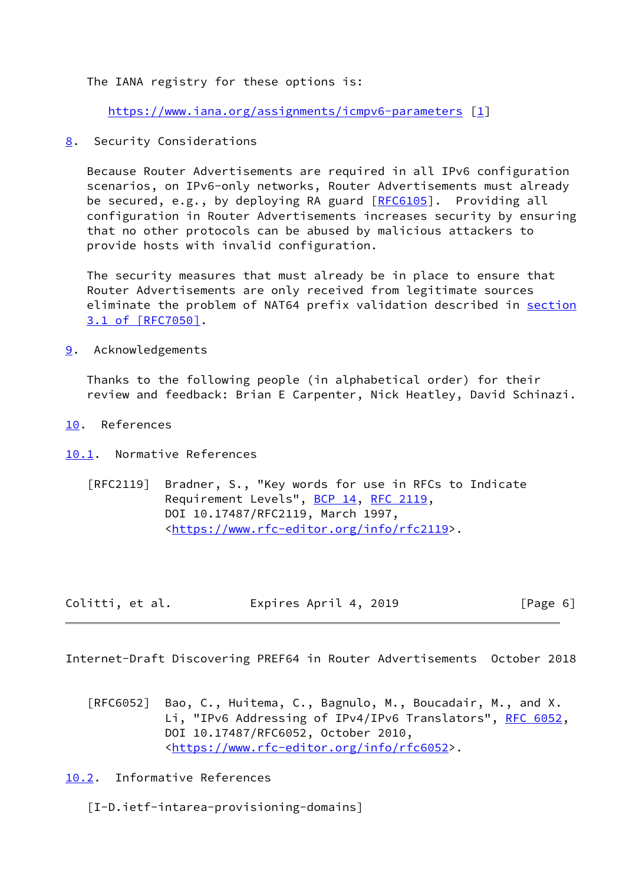The IANA registry for these options is:

<https://www.iana.org/assignments/icmpv6-parameters>[[1\]](#page-8-1)

<span id="page-6-0"></span>[8](#page-6-0). Security Considerations

 Because Router Advertisements are required in all IPv6 configuration scenarios, on IPv6-only networks, Router Advertisements must already be secured, e.g., by deploying RA guard [\[RFC6105](https://datatracker.ietf.org/doc/pdf/rfc6105)]. Providing all configuration in Router Advertisements increases security by ensuring that no other protocols can be abused by malicious attackers to provide hosts with invalid configuration.

 The security measures that must already be in place to ensure that Router Advertisements are only received from legitimate sources eliminate the problem of NAT64 prefix validation described in [section](https://datatracker.ietf.org/doc/pdf/rfc7050#section-3.1) [3.1 of \[RFC7050\]](https://datatracker.ietf.org/doc/pdf/rfc7050#section-3.1).

<span id="page-6-1"></span>[9](#page-6-1). Acknowledgements

 Thanks to the following people (in alphabetical order) for their review and feedback: Brian E Carpenter, Nick Heatley, David Schinazi.

- <span id="page-6-2"></span>[10.](#page-6-2) References
- <span id="page-6-3"></span>[10.1](#page-6-3). Normative References
	- [RFC2119] Bradner, S., "Key words for use in RFCs to Indicate Requirement Levels", [BCP 14](https://datatracker.ietf.org/doc/pdf/bcp14), [RFC 2119](https://datatracker.ietf.org/doc/pdf/rfc2119), DOI 10.17487/RFC2119, March 1997, <[https://www.rfc-editor.org/info/rfc2119>](https://www.rfc-editor.org/info/rfc2119).

| Colitti, et al. | Expires April 4, 2019 | [Page 6] |
|-----------------|-----------------------|----------|
|-----------------|-----------------------|----------|

<span id="page-6-5"></span>Internet-Draft Discovering PREF64 in Router Advertisements October 2018

 [RFC6052] Bao, C., Huitema, C., Bagnulo, M., Boucadair, M., and X. Li, "IPv6 Addressing of IPv4/IPv6 Translators", [RFC 6052,](https://datatracker.ietf.org/doc/pdf/rfc6052) DOI 10.17487/RFC6052, October 2010, <[https://www.rfc-editor.org/info/rfc6052>](https://www.rfc-editor.org/info/rfc6052).

<span id="page-6-4"></span>[10.2](#page-6-4). Informative References

[I-D.ietf-intarea-provisioning-domains]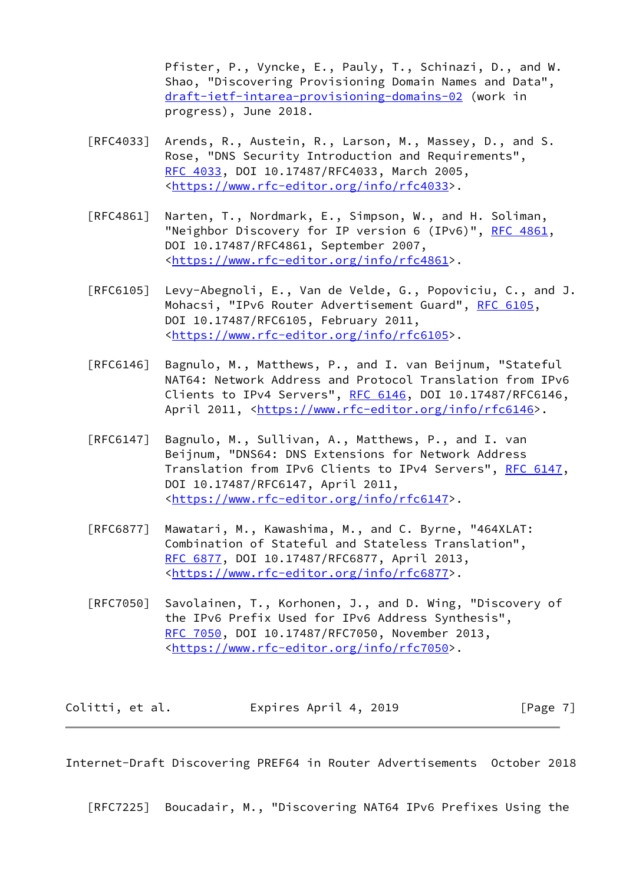Pfister, P., Vyncke, E., Pauly, T., Schinazi, D., and W. Shao, "Discovering Provisioning Domain Names and Data", [draft-ietf-intarea-provisioning-domains-02](https://datatracker.ietf.org/doc/pdf/draft-ietf-intarea-provisioning-domains-02) (work in progress), June 2018.

- [RFC4033] Arends, R., Austein, R., Larson, M., Massey, D., and S. Rose, "DNS Security Introduction and Requirements", [RFC 4033,](https://datatracker.ietf.org/doc/pdf/rfc4033) DOI 10.17487/RFC4033, March 2005, <[https://www.rfc-editor.org/info/rfc4033>](https://www.rfc-editor.org/info/rfc4033).
- [RFC4861] Narten, T., Nordmark, E., Simpson, W., and H. Soliman, "Neighbor Discovery for IP version 6 (IPv6)", [RFC 4861](https://datatracker.ietf.org/doc/pdf/rfc4861), DOI 10.17487/RFC4861, September 2007, <[https://www.rfc-editor.org/info/rfc4861>](https://www.rfc-editor.org/info/rfc4861).
- [RFC6105] Levy-Abegnoli, E., Van de Velde, G., Popoviciu, C., and J. Mohacsi, "IPv6 Router Advertisement Guard", [RFC 6105,](https://datatracker.ietf.org/doc/pdf/rfc6105) DOI 10.17487/RFC6105, February 2011, <[https://www.rfc-editor.org/info/rfc6105>](https://www.rfc-editor.org/info/rfc6105).
- [RFC6146] Bagnulo, M., Matthews, P., and I. van Beijnum, "Stateful NAT64: Network Address and Protocol Translation from IPv6 Clients to IPv4 Servers", [RFC 6146](https://datatracker.ietf.org/doc/pdf/rfc6146), DOI 10.17487/RFC6146, April 2011, [<https://www.rfc-editor.org/info/rfc6146](https://www.rfc-editor.org/info/rfc6146)>.
- [RFC6147] Bagnulo, M., Sullivan, A., Matthews, P., and I. van Beijnum, "DNS64: DNS Extensions for Network Address Translation from IPv6 Clients to IPv4 Servers", [RFC 6147,](https://datatracker.ietf.org/doc/pdf/rfc6147) DOI 10.17487/RFC6147, April 2011, <[https://www.rfc-editor.org/info/rfc6147>](https://www.rfc-editor.org/info/rfc6147).
- [RFC6877] Mawatari, M., Kawashima, M., and C. Byrne, "464XLAT: Combination of Stateful and Stateless Translation", [RFC 6877,](https://datatracker.ietf.org/doc/pdf/rfc6877) DOI 10.17487/RFC6877, April 2013, <[https://www.rfc-editor.org/info/rfc6877>](https://www.rfc-editor.org/info/rfc6877).
- [RFC7050] Savolainen, T., Korhonen, J., and D. Wing, "Discovery of the IPv6 Prefix Used for IPv6 Address Synthesis", [RFC 7050,](https://datatracker.ietf.org/doc/pdf/rfc7050) DOI 10.17487/RFC7050, November 2013, <[https://www.rfc-editor.org/info/rfc7050>](https://www.rfc-editor.org/info/rfc7050).

| Colitti, et al. | Expires April 4, 2019 | [Page 7] |
|-----------------|-----------------------|----------|
|-----------------|-----------------------|----------|

<span id="page-7-0"></span>Internet-Draft Discovering PREF64 in Router Advertisements October 2018

[RFC7225] Boucadair, M., "Discovering NAT64 IPv6 Prefixes Using the